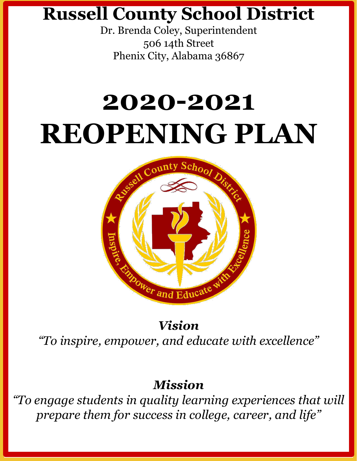### **Russell County School District**

Dr. Brenda Coley, Superintendent 506 14th Street Phenix City, Alabama 36867

# **2020-2021 REOPENING PLAN**



*Vision "To inspire, empower, and educate with excellence"*

#### *Mission*

*"To engage students in quality learning experiences that will prepare them for success in college, career, and life"*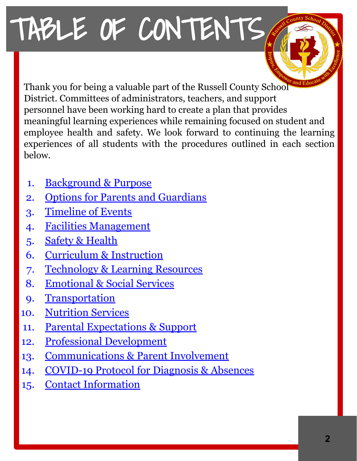# <span id="page-1-0"></span>TABLE OF CONTENTS

Thank you for being a valuable part of the Russell County School District. Committees of administrators, teachers, and support personnel have been working hard to create a plan that provides meaningful learning experiences while remaining focused on student and employee health and safety. We look forward to continuing the learning experiences of all students with the procedures outlined in each section below.

- 1. [Background & Purpose](#page-2-0)
- 2. [Options for Parents and Guardians](#page-3-0)
- 3. [Timeline of Events](#page-4-0)
- 4. [Facilities Management](#page-5-0)
- 5. [Safety & Health](#page-6-0)
- 6. [Curriculum & Instruction](#page-7-0)
- 7. [Technology & Learning Resources](#page-21-0)
- 8. [Emotional & Social Services](#page-22-0)
- 9. [Transportation](#page-23-0)
- 10. [Nutrition Services](#page-24-0)
- 11. [Parental Expectations & Support](#page-25-0)
- 12. [Professional Development](#page-26-0)
- 13. [Communications & Parent Involvement](#page-27-0)
- 14. [COVID-19 Protocol for Diagnosis & Absences](#page-28-0)
- 15. [Contact Information](#page-33-0)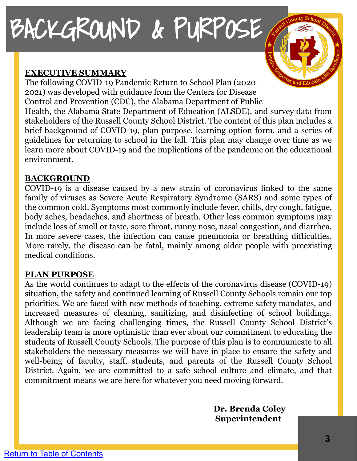# <span id="page-2-0"></span>BACKGROUND & PURPOSE

#### **EXECUTIVE SUMMARY**

The following COVID-19 Pandemic Return to School Plan (2020- 2021) was developed with guidance from the Centers for Disease Control and Prevention (CDC), the Alabama Department of Public Health, the Alabama State Department of Education (ALSDE), and survey data from stakeholders of the Russell County School District. The content of this plan includes a brief background of COVID-19, plan purpose, learning option form, and a series of guidelines for returning to school in the fall. This plan may change over time as we learn more about COVID-19 and the implications of the pandemic on the educational environment.

#### **BACKGROUND**

COVID-19 is a disease caused by a new strain of coronavirus linked to the same family of viruses as Severe Acute Respiratory Syndrome (SARS) and some types of the common cold. Symptoms most commonly include fever, chills, dry cough, fatigue, body aches, headaches, and shortness of breath. Other less common symptoms may include loss of smell or taste, sore throat, runny nose, nasal congestion, and diarrhea. In more severe cases, the infection can cause pneumonia or breathing difficulties. More rarely, the disease can be fatal, mainly among older people with preexisting medical conditions.

#### **PLAN PURPOSE**

As the world continues to adapt to the effects of the coronavirus disease (COVID-19) situation, the safety and continued learning of Russell County Schools remain our top priorities. We are faced with new methods of teaching, extreme safety mandates, and increased measures of cleaning, sanitizing, and disinfecting of school buildings. Although we are facing challenging times, the Russell County School District's leadership team is more optimistic than ever about our commitment to educating the students of Russell County Schools. The purpose of this plan is to communicate to all stakeholders the necessary measures we will have in place to ensure the safety and well-being of faculty, staff, students, and parents of the Russell County School District. Again, we are committed to a safe school culture and climate, and that commitment means we are here for whatever you need moving forward.

> **Dr. Brenda Coley Superintendent**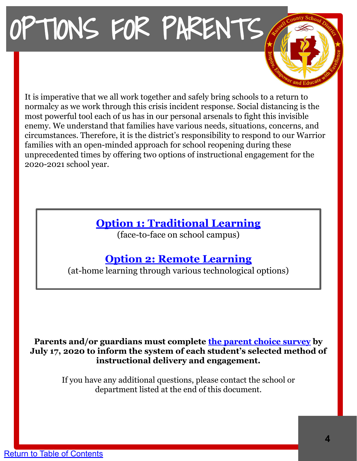# <span id="page-3-0"></span>OPTIONS FOR PARENTS

It is imperative that we all work together and safely bring schools to a return to normalcy as we work through this crisis incident response. Social distancing is the most powerful tool each of us has in our personal arsenals to fight this invisible enemy. We understand that families have various needs, situations, concerns, and circumstances. Therefore, it is the district's responsibility to respond to our Warrior families with an open-minded approach for school reopening during these unprecedented times by offering two options of instructional engagement for the 2020-2021 school year.

#### **Option 1: [Traditional Learning](#page-7-0)**

(face-to-face on school campus)

#### **Option 2: [Remote Learning](#page-8-0)**

(at-home learning through various technological options)

#### **Parents and/or guardians must complete [the parent choice survey](https://forms.gle/Rj23aENL3Ec8ykGu8) by July 17, 2020 to inform the system of each student's selected method of instructional delivery and engagement.**

If you have any additional questions, please contact the school or department listed at the end of this document.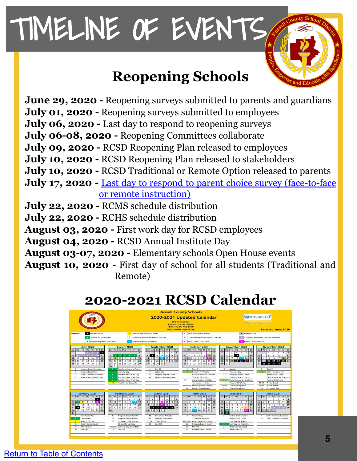# <span id="page-4-0"></span>TIMELINE OF EVENTS

### **Reopening Schools**

**June 29, 2020 -** Reopening surveys submitted to parents and guardians **July 01, 2020 -** Reopening surveys submitted to employees **July 06, 2020 -** Last day to respond to reopening surveys **July 06-08, 2020 -** Reopening Committees collaborate **July 09, 2020 -** RCSD Reopening Plan released to employees **July 10, 2020 -** RCSD Reopening Plan released to stakeholders **July 10, 2020 -** RCSD Traditional or Remote Option released to parents **July 17, 2020** - <u>[Last day to respond to parent choice survey \(face-to-face](https://forms.gle/Rj23aENL3Ec8ykGu8)</u>  [or remote instruction\)](https://forms.gle/Rj23aENL3Ec8ykGu8) **July 22, 2020 -** RCMS schedule distribution **July 22, 2020 -** RCHS schedule distribution **August 03, 2020 -** First work day for RCSD employees **August 04, 2020 -** RCSD Annual Institute Day **August 03-07, 2020 -** Elementary schools Open House events **August 10, 2020 -** First day of school for all students (Traditional and

Remote)

### **2020-2021 RCSD Calendar**

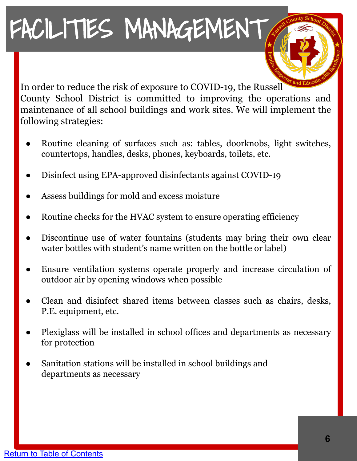# <span id="page-5-0"></span>FACILITIES MANAGEMENT

In order to reduce the risk of exposure to COVID-19, the Russell County School District is committed to improving the operations and maintenance of all school buildings and work sites. We will implement the following strategies:

- Routine cleaning of surfaces such as: tables, doorknobs, light switches, countertops, handles, desks, phones, keyboards, toilets, etc.
- Disinfect using EPA-approved disinfectants against COVID-19
- Assess buildings for mold and excess moisture
- Routine checks for the HVAC system to ensure operating efficiency
- Discontinue use of water fountains (students may bring their own clear water bottles with student's name written on the bottle or label)
- Ensure ventilation systems operate properly and increase circulation of outdoor air by opening windows when possible
- Clean and disinfect shared items between classes such as chairs, desks, P.E. equipment, etc.
- Plexiglass will be installed in school offices and departments as necessary for protection
- Sanitation stations will be installed in school buildings and departments as necessary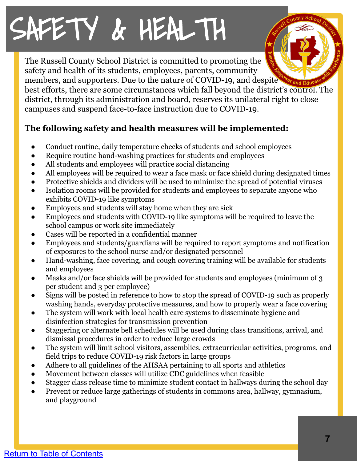# <span id="page-6-0"></span>SAFETY & HEALTH

The Russell County School District is committed to promoting the safety and health of its students, employees, parents, community members, and supporters. Due to the nature of COVID-19, and despite

best efforts, there are some circumstances which fall beyond the district's control. The district, through its administration and board, reserves its unilateral right to close campuses and suspend face-to-face instruction due to COVID-19.

#### **The following safety and health measures will be implemented:**

- Conduct routine, daily temperature checks of students and school employees
- Require routine hand-washing practices for students and employees
- All students and employees will practice social distancing
- All employees will be required to wear a face mask or face shield during designated times
- Protective shields and dividers will be used to minimize the spread of potential viruses
- Isolation rooms will be provided for students and employees to separate anyone who exhibits COVID-19 like symptoms
- Employees and students will stay home when they are sick
- Employees and students with COVID-19 like symptoms will be required to leave the school campus or work site immediately
- Cases will be reported in a confidential manner
- Employees and students/guardians will be required to report symptoms and notification of exposures to the school nurse and/or designated personnel
- Hand-washing, face covering, and cough covering training will be available for students and employees
- Masks and/or face shields will be provided for students and employees (minimum of 3 per student and 3 per employee)
- Signs will be posted in reference to how to stop the spread of COVID-19 such as properly washing hands, everyday protective measures, and how to properly wear a face covering
- The system will work with local health care systems to disseminate hygiene and disinfection strategies for transmission prevention
- Staggering or alternate bell schedules will be used during class transitions, arrival, and dismissal procedures in order to reduce large crowds
- The system will limit school visitors, assemblies, extracurricular activities, programs, and field trips to reduce COVID-19 risk factors in large groups
- Adhere to all guidelines of the AHSAA pertaining to all sports and athletics
- Movement between classes will utilize CDC guidelines when feasible
- Stagger class release time to minimize student contact in hallways during the school day
- Prevent or reduce large gatherings of students in commons area, hallway, gymnasium, and playground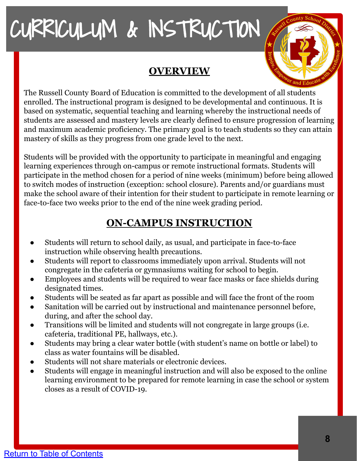#### **OVERVIEW**



<span id="page-7-0"></span>The Russell County Board of Education is committed to the development of all students enrolled. The instructional program is designed to be developmental and continuous. It is based on systematic, sequential teaching and learning whereby the instructional needs of students are assessed and mastery levels are clearly defined to ensure progression of learning and maximum academic proficiency. The primary goal is to teach students so they can attain mastery of skills as they progress from one grade level to the next.

Students will be provided with the opportunity to participate in meaningful and engaging learning experiences through on-campus or remote instructional formats. Students will participate in the method chosen for a period of nine weeks (minimum) before being allowed to switch modes of instruction (exception: school closure). Parents and/or guardians must make the school aware of their intention for their student to participate in remote learning or face-to-face two weeks prior to the end of the nine week grading period.

#### **ON-CAMPUS INSTRUCTION**

- Students will return to school daily, as usual, and participate in face-to-face instruction while observing health precautions.
- Students will report to classrooms immediately upon arrival. Students will not congregate in the cafeteria or gymnasiums waiting for school to begin.
- Employees and students will be required to wear face masks or face shields during designated times.
- Students will be seated as far apart as possible and will face the front of the room
- Sanitation will be carried out by instructional and maintenance personnel before, during, and after the school day.
- Transitions will be limited and students will not congregate in large groups (i.e. cafeteria, traditional PE, hallways, etc.).
- Students may bring a clear water bottle (with student's name on bottle or label) to class as water fountains will be disabled.
- Students will not share materials or electronic devices.
- Students will engage in meaningful instruction and will also be exposed to the online learning environment to be prepared for remote learning in case the school or system closes as a result of COVID-19.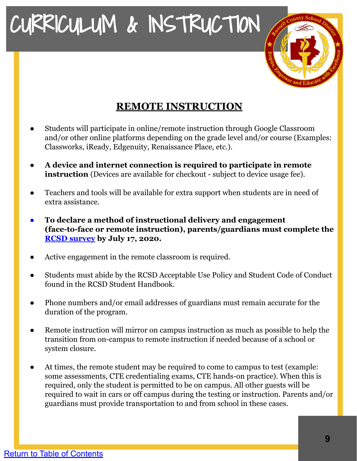

#### **REMOTE INSTRUCTION**

- <span id="page-8-0"></span>Students will participate in online/remote instruction through Google Classroom and/or other online platforms depending on the grade level and/or course (Examples: Classworks, iReady, Edgenuity, Renaissance Place, etc.).
- **A device and internet connection is required to participate in remote instruction** (Devices are available for checkout - subject to device usage fee).
- Teachers and tools will be available for extra support when students are in need of extra assistance.
- **● To declare a method of instructional delivery and engagement (face-to-face or remote instruction), parents/guardians must complete the [RCSD survey](https://forms.gle/Rj23aENL3Ec8ykGu8) by July 17, 2020.**
- Active engagement in the remote classroom is required.
- Students must abide by the RCSD Acceptable Use Policy and Student Code of Conduct found in the RCSD Student Handbook.
- Phone numbers and/or email addresses of guardians must remain accurate for the duration of the program.
- Remote instruction will mirror on campus instruction as much as possible to help the transition from on-campus to remote instruction if needed because of a school or system closure.
- At times, the remote student may be required to come to campus to test (example: some assessments, CTE credentialing exams, CTE hands-on practice). When this is required, only the student is permitted to be on campus. All other guests will be required to wait in cars or off campus during the testing or instruction. Parents and/or guardians must provide transportation to and from school in these cases.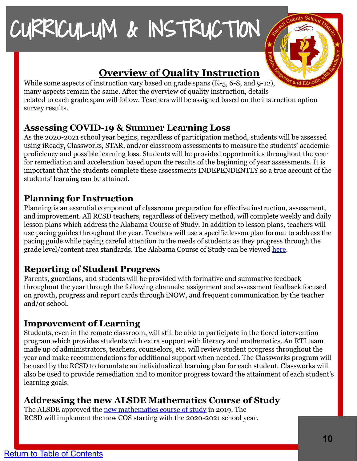

#### **Overview of Quality Instruction**

While some aspects of instruction vary based on grade spans (K-5, 6-8, and 9-12), many aspects remain the same. After the overview of quality instruction, details related to each grade span will follow. Teachers will be assigned based on the instruction option survey results.

#### **Assessing COVID-19 & Summer Learning Loss**

As the 2020-2021 school year begins, regardless of participation method, students will be assessed using iReady, Classworks, STAR, and/or classroom assessments to measure the students' academic proficiency and possible learning loss. Students will be provided opportunities throughout the year for remediation and acceleration based upon the results of the beginning of year assessments. It is important that the students complete these assessments INDEPENDENTLY so a true account of the students' learning can be attained.

#### **Planning for Instruction**

Planning is an essential component of classroom preparation for effective instruction, assessment, and improvement. All RCSD teachers, regardless of delivery method, will complete weekly and daily lesson plans which address the Alabama Course of Study. In addition to lesson plans, teachers will use pacing guides throughout the year. Teachers will use a specific lesson plan format to address the pacing guide while paying careful attention to the needs of students as they progress through the grade level/content area standards. The Alabama Course of Study can be viewed [here.](https://alex.state.al.us/browseStand.php)

#### **Reporting of Student Progress**

Parents, guardians, and students will be provided with formative and summative feedback throughout the year through the following channels: assignment and assessment feedback focused on growth, progress and report cards through iNOW, and frequent communication by the teacher and/or school.

#### **Improvement of Learning**

Students, even in the remote classroom, will still be able to participate in the tiered intervention program which provides students with extra support with literacy and mathematics. An RTI team made up of administrators, teachers, counselors, etc. will review student progress throughout the year and make recommendations for additional support when needed. The Classworks program will be used by the RCSD to formulate an individualized learning plan for each student. Classworks will also be used to provide remediation and to monitor progress toward the attainment of each student's learning goals.

#### **Addressing the new ALSDE Mathematics Course of Study**

The ALSDE approved the [new mathematics course of study](https://www.alsde.edu/sec/sct/COS/2019%20Alabama%20Course%20of%20Study%20Mathematics.pdf) in 2019. The RCSD will implement the new COS starting with the 2020-2021 school year.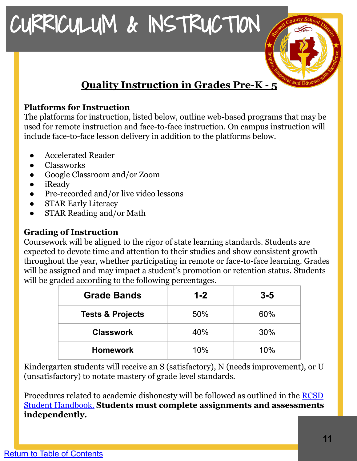#### **Quality Instruction in Grades Pre-K - 5**

#### **Platforms for Instruction**

The platforms for instruction, listed below, outline web-based programs that may be used for remote instruction and face-to-face instruction. On campus instruction will include face-to-face lesson delivery in addition to the platforms below.

- Accelerated Reader
- Classworks
- Google Classroom and/or Zoom
- iReady
- Pre-recorded and/or live video lessons
- **STAR Early Literacy**
- **STAR Reading and/or Math**

#### **Grading of Instruction**

Coursework will be aligned to the rigor of state learning standards. Students are expected to devote time and attention to their studies and show consistent growth throughout the year, whether participating in remote or face-to-face learning. Grades will be assigned and may impact a student's promotion or retention status. Students will be graded according to the following percentages.

| <b>Grade Bands</b>          | $1 - 2$ | $3 - 5$ |
|-----------------------------|---------|---------|
| <b>Tests &amp; Projects</b> | 50%     | 60%     |
| <b>Classwork</b>            | 40%     | 30%     |
| <b>Homework</b>             | 10%     | 10%     |

Kindergarten students will receive an S (satisfactory), N (needs improvement), or U (unsatisfactory) to notate mastery of grade level standards.

Procedures related to academic dishonesty will be followed as outlined in the [RCSD](https://www.myrcsd.org/Page/526) [Student Handbook.](https://www.myrcsd.org/Page/526) **Students must complete assignments and assessments independently.**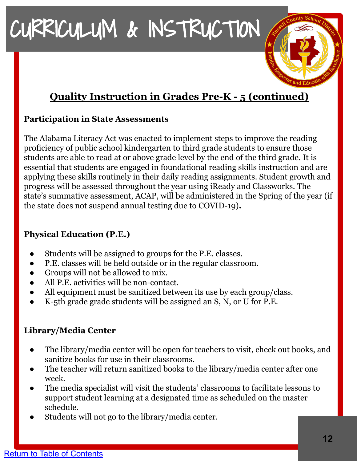#### **Quality Instruction in Grades Pre-K - 5 (continued)**

#### **Participation in State Assessments**

The Alabama Literacy Act was enacted to implement steps to improve the reading proficiency of public school kindergarten to third grade students to ensure those students are able to read at or above grade level by the end of the third grade. It is essential that students are engaged in foundational reading skills instruction and are applying these skills routinely in their daily reading assignments. Student growth and progress will be assessed throughout the year using iReady and Classworks. The state's summative assessment, ACAP, will be administered in the Spring of the year (if the state does not suspend annual testing due to COVID-19)**.**

#### **Physical Education (P.E.)**

- Students will be assigned to groups for the P.E. classes.
- P.E. classes will be held outside or in the regular classroom.
- Groups will not be allowed to mix.
- All P.E. activities will be non-contact.
- All equipment must be sanitized between its use by each group/class.
- K-5th grade grade students will be assigned an S, N, or U for P.E.

#### **Library/Media Center**

- The library/media center will be open for teachers to visit, check out books, and sanitize books for use in their classrooms.
- The teacher will return sanitized books to the library/media center after one week.
- The media specialist will visit the students' classrooms to facilitate lessons to support student learning at a designated time as scheduled on the master schedule.
- Students will not go to the library/media center.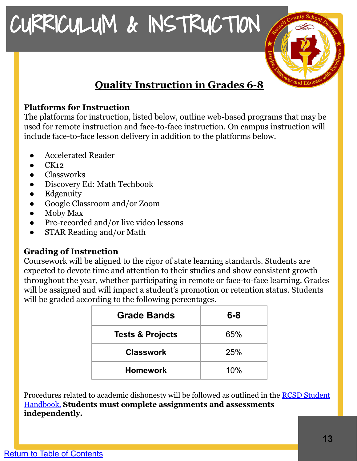#### **Quality Instruction in Grades 6-8**

#### **Platforms for Instruction**

The platforms for instruction, listed below, outline web-based programs that may be used for remote instruction and face-to-face instruction. On campus instruction will include face-to-face lesson delivery in addition to the platforms below.

- Accelerated Reader
- $CK12$
- **Classworks**
- Discovery Ed: Math Techbook
- **Edgenuity**
- Google Classroom and/or Zoom
- Moby Max
- Pre-recorded and/or live video lessons
- STAR Reading and/or Math

#### **Grading of Instruction**

Coursework will be aligned to the rigor of state learning standards. Students are expected to devote time and attention to their studies and show consistent growth throughout the year, whether participating in remote or face-to-face learning. Grades will be assigned and will impact a student's promotion or retention status. Students will be graded according to the following percentages.

| <b>Grade Bands</b>          | $6 - 8$ |
|-----------------------------|---------|
| <b>Tests &amp; Projects</b> | 65%     |
| <b>Classwork</b>            | 25%     |
| <b>Homework</b>             | 10%     |

Procedures related to academic dishonesty will be followed as outlined in the [RCSD Student](https://www.myrcsd.org/Page/526) [Handbook.](https://www.myrcsd.org/Page/526) **Students must complete assignments and assessments independently.**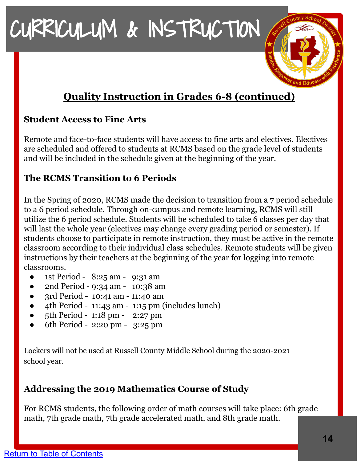#### **Quality Instruction in Grades 6-8 (continued)**

#### **Student Access to Fine Arts**

Remote and face-to-face students will have access to fine arts and electives. Electives are scheduled and offered to students at RCMS based on the grade level of students and will be included in the schedule given at the beginning of the year.

#### **The RCMS Transition to 6 Periods**

In the Spring of 2020, RCMS made the decision to transition from a 7 period schedule to a 6 period schedule. Through on-campus and remote learning, RCMS will still utilize the 6 period schedule. Students will be scheduled to take 6 classes per day that will last the whole year (electives may change every grading period or semester). If students choose to participate in remote instruction, they must be active in the remote classroom according to their individual class schedules. Remote students will be given instructions by their teachers at the beginning of the year for logging into remote classrooms.

- 1st Period 8:25 am 9:31 am
- 2nd Period 9:34 am 10:38 am
- 3rd Period 10:41 am 11:40 am
- 4th Period 11:43 am 1:15 pm (includes lunch)
- 5th Period 1:18 pm 2:27 pm
- 6th Period 2:20 pm 3:25 pm

Lockers will not be used at Russell County Middle School during the 2020-2021 school year.

#### **Addressing the 2019 Mathematics Course of Study**

For RCMS students, the following order of math courses will take place: 6th grade math, 7th grade math, 7th grade accelerated math, and 8th grade math.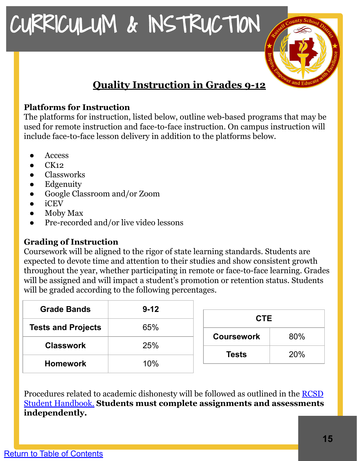#### **Quality Instruction in Grades 9-12**

#### **Platforms for Instruction**

The platforms for instruction, listed below, outline web-based programs that may be used for remote instruction and face-to-face instruction. On campus instruction will include face-to-face lesson delivery in addition to the platforms below.

- **Access**
- $CK12$
- **Classworks**
- **Edgenuity**
- Google Classroom and/or Zoom
- **iCEV**
- **Moby Max**
- Pre-recorded and/or live video lessons

#### **Grading of Instruction**

Coursework will be aligned to the rigor of state learning standards. Students are expected to devote time and attention to their studies and show consistent growth throughout the year, whether participating in remote or face-to-face learning. Grades will be assigned and will impact a student's promotion or retention status. Students will be graded according to the following percentages.

| <b>Grade Bands</b>        | $9 - 12$ | <b>CTE</b>        |     |
|---------------------------|----------|-------------------|-----|
| <b>Tests and Projects</b> | 65%      |                   |     |
|                           |          | <b>Coursework</b> | 80% |
| <b>Classwork</b>          | 25%      |                   |     |
|                           |          | <b>Tests</b>      | 20% |
| <b>Homework</b>           | 10%      |                   |     |
|                           |          |                   |     |

Procedures related to academic dishonesty will be followed as outlined in the [RCSD](https://www.myrcsd.org/Page/526) [Student Handbook.](https://www.myrcsd.org/Page/526) **Students must complete assignments and assessments independently.**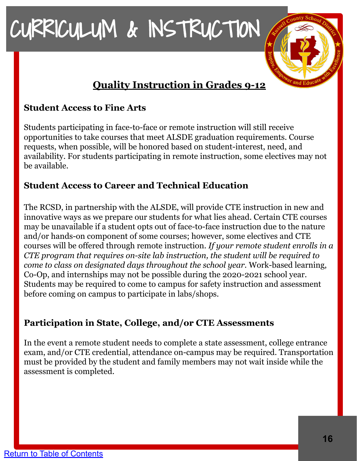#### **Quality Instruction in Grades 9-12**

#### **Student Access to Fine Arts**

Students participating in face-to-face or remote instruction will still receive opportunities to take courses that meet ALSDE graduation requirements. Course requests, when possible, will be honored based on student-interest, need, and availability. For students participating in remote instruction, some electives may not be available.

#### **Student Access to Career and Technical Education**

The RCSD, in partnership with the ALSDE, will provide CTE instruction in new and innovative ways as we prepare our students for what lies ahead. Certain CTE courses may be unavailable if a student opts out of face-to-face instruction due to the nature and/or hands-on component of some courses; however, some electives and CTE courses will be offered through remote instruction. *If your remote student enrolls in a CTE program that requires on-site lab instruction, the student will be required to come to class on designated days throughout the school year.* Work-based learning, Co-Op, and internships may not be possible during the 2020-2021 school year. Students may be required to come to campus for safety instruction and assessment before coming on campus to participate in labs/shops.

#### **Participation in State, College, and/or CTE Assessments**

In the event a remote student needs to complete a state assessment, college entrance exam, and/or CTE credential, attendance on-campus may be required. Transportation must be provided by the student and family members may not wait inside while the assessment is completed.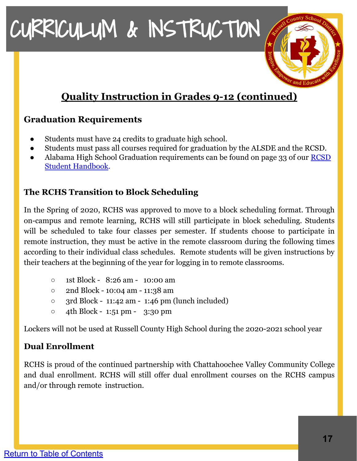#### **Quality Instruction in Grades 9-12 (continued)**

#### **Graduation Requirements**

- Students must have 24 credits to graduate high school.
- Students must pass all courses required for graduation by the ALSDE and the RCSD.
- Alabama High School Graduation requirements can be found on page 33 of our [RCSD](https://www.myrcsd.org/Page/526) [Student Handbook.](https://www.myrcsd.org/Page/526)

#### **The RCHS Transition to Block Scheduling**

In the Spring of 2020, RCHS was approved to move to a block scheduling format. Through on-campus and remote learning, RCHS will still participate in block scheduling. Students will be scheduled to take four classes per semester. If students choose to participate in remote instruction, they must be active in the remote classroom during the following times according to their individual class schedules. Remote students will be given instructions by their teachers at the beginning of the year for logging in to remote classrooms.

- 1st Block 8:26 am 10:00 am
- 2nd Block 10:04 am 11:38 am
- $\circ$  3rd Block 11:42 am 1:46 pm (lunch included)
- 4th Block 1:51 pm 3:30 pm

Lockers will not be used at Russell County High School during the 2020-2021 school year

#### **Dual Enrollment**

RCHS is proud of the continued partnership with Chattahoochee Valley Community College and dual enrollment. RCHS will still offer dual enrollment courses on the RCHS campus and/or through remote instruction.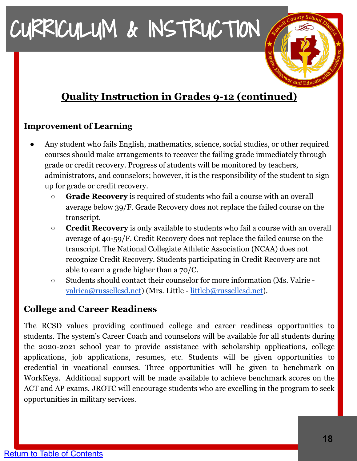#### **Quality Instruction in Grades 9-12 (continued)**

#### **Improvement of Learning**

- Any student who fails English, mathematics, science, social studies, or other required courses should make arrangements to recover the failing grade immediately through grade or credit recovery. Progress of students will be monitored by teachers, administrators, and counselors; however, it is the responsibility of the student to sign up for grade or credit recovery.
	- **Grade Recovery** is required of students who fail a course with an overall average below 39/F. Grade Recovery does not replace the failed course on the transcript.
	- **Credit Recovery** is only available to students who fail a course with an overall average of 40-59/F. Credit Recovery does not replace the failed course on the transcript. The National Collegiate Athletic Association (NCAA) does not recognize Credit Recovery. Students participating in Credit Recovery are not able to earn a grade higher than a 70/C.
	- Students should contact their counselor for more information (Ms. Valrie [valriea@russellcsd.net](mailto:valriea@russellcsd.net)) (Mrs. Little - [littleb@russellcsd.net](mailto:littleb@russellcsd.net)).

#### **College and Career Readiness**

The RCSD values providing continued college and career readiness opportunities to students. The system's Career Coach and counselors will be available for all students during the 2020-2021 school year to provide assistance with scholarship applications, college applications, job applications, resumes, etc. Students will be given opportunities to credential in vocational courses. Three opportunities will be given to benchmark on WorkKeys. Additional support will be made available to achieve benchmark scores on the ACT and AP exams. JROTC will encourage students who are excelling in the program to seek opportunities in military services.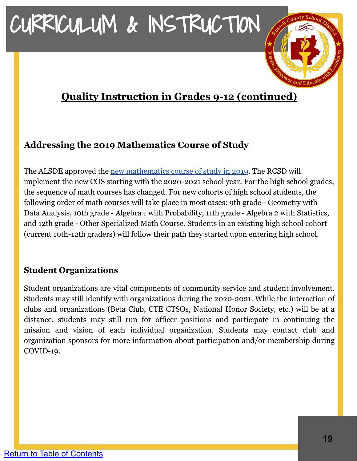#### **Quality Instruction in Grades 9-12 (continued)**

#### **Addressing the 2019 Mathematics Course of Study**

The ALSDE approved the [new mathematics course of study in 2019](https://www.alsde.edu/sec/sct/COS/2019%20Alabama%20Course%20of%20Study%20Mathematics.pdf). The RCSD will implement the new COS starting with the 2020-2021 school year. For the high school grades, the sequence of math courses has changed. For new cohorts of high school students, the following order of math courses will take place in most cases: 9th grade - Geometry with Data Analysis, 10th grade - Algebra 1 with Probability, 11th grade - Algebra 2 with Statistics, and 12th grade - Other Specialized Math Course. Students in an existing high school cohort (current 10th-12th graders) will follow their path they started upon entering high school.

#### **Student Organizations**

Student organizations are vital components of community service and student involvement. Students may still identify with organizations during the 2020-2021. While the interaction of clubs and organizations (Beta Club, CTE CTSOs, National Honor Society, etc.) will be at a distance, students may still run for officer positions and participate in continuing the mission and vision of each individual organization. Students may contact club and organization sponsors for more information about participation and/or membership during COVID-19.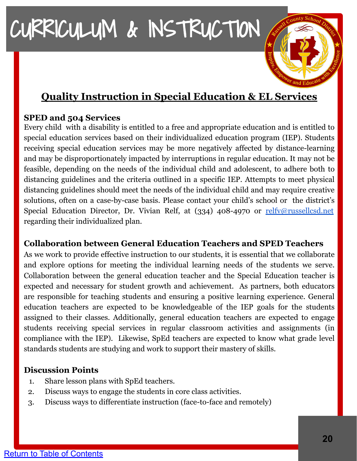#### **Quality Instruction in Special Education & EL Services**

#### **SPED and 504 Services**

Every child with a disability is entitled to a free and appropriate education and is entitled to special education services based on their individualized education program (IEP). Students receiving special education services may be more negatively affected by distance-learning and may be disproportionately impacted by interruptions in regular education. It may not be feasible, depending on the needs of the individual child and adolescent, to adhere both to distancing guidelines and the criteria outlined in a specific IEP. Attempts to meet physical distancing guidelines should meet the needs of the individual child and may require creative solutions, often on a case-by-case basis. Please contact your child's school or the district's Special Education Director, Dr. Vivian Relf, at (334) 408-4970 or [relfv@russellcsd.net](mailto:relfv@russellcasd.net) regarding their individualized plan.

#### **Collaboration between General Education Teachers and SPED Teachers**

As we work to provide effective instruction to our students, it is essential that we collaborate and explore options for meeting the individual learning needs of the students we serve. Collaboration between the general education teacher and the Special Education teacher is expected and necessary for student growth and achievement. As partners, both educators are responsible for teaching students and ensuring a positive learning experience. General education teachers are expected to be knowledgeable of the IEP goals for the students assigned to their classes. Additionally, general education teachers are expected to engage students receiving special services in regular classroom activities and assignments (in compliance with the IEP). Likewise, SpEd teachers are expected to know what grade level standards students are studying and work to support their mastery of skills.

#### **Discussion Points**

- 1. Share lesson plans with SpEd teachers.
- 2. Discuss ways to engage the students in core class activities.
- 3. Discuss ways to differentiate instruction (face-to-face and remotely)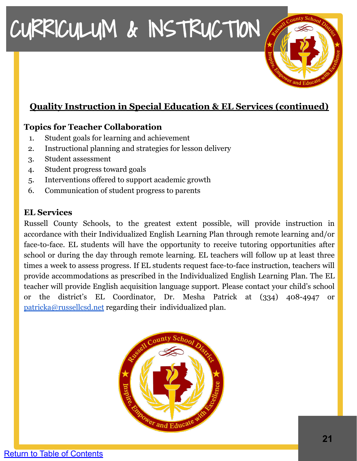#### **Quality Instruction in Special Education & EL Services (continued)**

#### **Topics for Teacher Collaboration**

- 1. Student goals for learning and achievement
- 2. Instructional planning and strategies for lesson delivery
- 3. Student assessment
- 4. Student progress toward goals
- 5. Interventions offered to support academic growth
- 6. Communication of student progress to parents

#### **EL Services**

Russell County Schools, to the greatest extent possible, will provide instruction in accordance with their Individualized English Learning Plan through remote learning and/or face-to-face. EL students will have the opportunity to receive tutoring opportunities after school or during the day through remote learning. EL teachers will follow up at least three times a week to assess progress. If EL students request face-to-face instruction, teachers will provide accommodations as prescribed in the Individualized English Learning Plan. The EL teacher will provide English acquisition language support. Please contact your child's school or the district's EL Coordinator, Dr. Mesha Patrick at (334) 408-4947 or [patricka@russellcsd.net](mailto:patrickm@russellcsd.net) regarding their individualized plan.

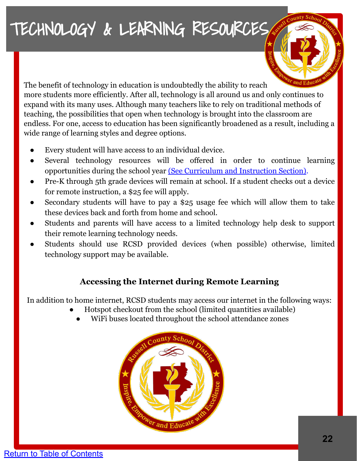### <span id="page-21-0"></span>TECHNOLOGY & LEARNING RESOURCES



The benefit of technology in education is undoubtedly the ability to reach more students more efficiently. After all, technology is all around us and only continues to expand with its many uses. Although many teachers like to rely on traditional methods of teaching, the possibilities that open when technology is brought into the classroom are endless. For one, access to education has been significantly broadened as a result, including a wide range of learning styles and degree options.

- Every student will have access to an individual device.
- Several technology resources will be offered in order to continue learning opportunities during the school year [\(See Curriculum and Instruction Section\).](#page-7-0)
- Pre-K through 5th grade devices will remain at school. If a student checks out a device for remote instruction, a \$25 fee will apply.
- Secondary students will have to pay a \$25 usage fee which will allow them to take these devices back and forth from home and school.
- Students and parents will have access to a limited technology help desk to support their remote learning technology needs.
- Students should use RCSD provided devices (when possible) otherwise, limited technology support may be available.

#### **Accessing the Internet during Remote Learning**

In addition to home internet, RCSD students may access our internet in the following ways:

- Hotspot checkout from the school (limited quantities available)
	- WiFi buses located throughout the school attendance zones

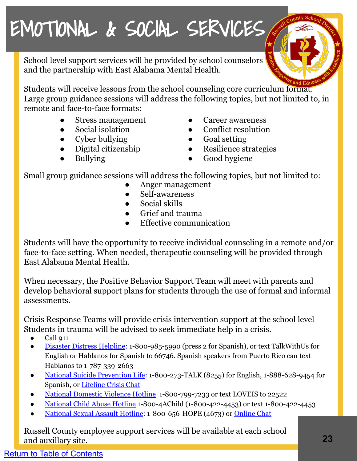### <span id="page-22-0"></span>EMOTIONAL & SOCIAL SERVICES

School level support services will be provided by school counselors and the partnership with East Alabama Mental Health.

Students will receive lessons from the school counseling core curriculum format. Large group guidance sessions will address the following topics, but not limited to, in remote and face-to-face formats:

- Stress management
- Social isolation
- Cyber bullying
- Digital citizenship
- **Bullying**
- Career awareness
- Conflict resolution
- Goal setting
- Resilience strategies
- Good hygiene

Small group guidance sessions will address the following topics, but not limited to:

- Anger management
- Self-awareness
- Social skills
- Grief and trauma
- Effective communication

Students will have the opportunity to receive individual counseling in a remote and/or face-to-face setting. When needed, therapeutic counseling will be provided through East Alabama Mental Health.

When necessary, the Positive Behavior Support Team will meet with parents and develop behavioral support plans for students through the use of formal and informal assessments.

Crisis Response Teams will provide crisis intervention support at the school level Students in trauma will be advised to seek immediate help in a crisis.

- Call 911
- [Disaster Distress Helpline](https://www.samhsa.gov/disaster-preparedness): 1-800-985-5990 (press 2 for Spanish), or text TalkWithUs for English or Hablanos for Spanish to 66746. Spanish speakers from Puerto Rico can text Hablanos to 1-787-339-2663
- [National Suicide Prevention Life:](http://www.suicidepreventionlifeline.org/) 1-800-273-TALK (8255) for English, 1-888-628-9454 for Spanish, or [Lifeline Crisis Chat](http://www.suicidepreventionlifeline.org/GetHelp/LifelineChat.aspx)
- [National Domestic Violence Hotline](https://www.thehotline.org/) 1-800-799-7233 or text LOVEIS to 22522
- [National Child Abuse Hotline](https://www.childhelp.org/hotline/) 1-800-4AChild (1-800-422-4453) or text 1-800-422-4453
- [National Sexual Assault Hotline:](https://rainn.org/) 1-800-656-HOPE (4673) or [Online Chat](https://hotline.rainn.org/online)

Russell County employee support services will be available at each school and auxillary site.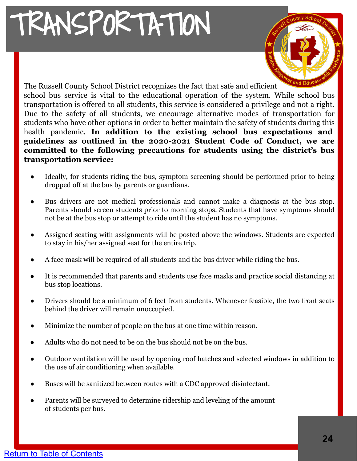# <span id="page-23-0"></span>TRANSPORTATION

The Russell County School District recognizes the fact that safe and efficient school bus service is vital to the educational operation of the system. While school bus transportation is offered to all students, this service is considered a privilege and not a right. Due to the safety of all students, we encourage alternative modes of transportation for students who have other options in order to better maintain the safety of students during this health pandemic. **In addition to the existing school bus expectations and guidelines as outlined in the 2020-2021 Student Code of Conduct, we are committed to the following precautions for students using the district's bus transportation service:**

- Ideally, for students riding the bus, symptom screening should be performed prior to being dropped off at the bus by parents or guardians.
- Bus drivers are not medical professionals and cannot make a diagnosis at the bus stop. Parents should screen students prior to morning stops. Students that have symptoms should not be at the bus stop or attempt to ride until the student has no symptoms.
- Assigned seating with assignments will be posted above the windows. Students are expected to stay in his/her assigned seat for the entire trip.
- A face mask will be required of all students and the bus driver while riding the bus.
- It is recommended that parents and students use face masks and practice social distancing at bus stop locations.
- Drivers should be a minimum of 6 feet from students. Whenever feasible, the two front seats behind the driver will remain unoccupied.
- Minimize the number of people on the bus at one time within reason.
- Adults who do not need to be on the bus should not be on the bus.
- Outdoor ventilation will be used by opening roof hatches and selected windows in addition to the use of air conditioning when available.
- Buses will be sanitized between routes with a CDC approved disinfectant.
- Parents will be surveyed to determine ridership and leveling of the amount of students per bus.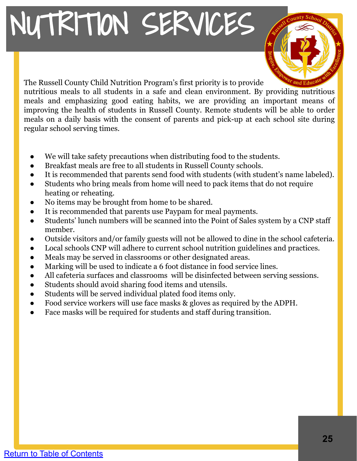# <span id="page-24-0"></span>NUTRITION SERVICES



The Russell County Child Nutrition Program's first priority is to provide nutritious meals to all students in a safe and clean environment. By providing nutritious meals and emphasizing good eating habits, we are providing an important means of improving the health of students in Russell County. Remote students will be able to order meals on a daily basis with the consent of parents and pick-up at each school site during regular school serving times.

- We will take safety precautions when distributing food to the students.
- Breakfast meals are free to all students in Russell County schools.
- It is recommended that parents send food with students (with student's name labeled).
- Students who bring meals from home will need to pack items that do not require heating or reheating.
- No items may be brought from home to be shared.
- It is recommended that parents use Paypam for meal payments.
- Students' lunch numbers will be scanned into the Point of Sales system by a CNP staff member.
- Outside visitors and/or family guests will not be allowed to dine in the school cafeteria.
- Local schools CNP will adhere to current school nutrition guidelines and practices.
- Meals may be served in classrooms or other designated areas.
- Marking will be used to indicate a 6 foot distance in food service lines.
- All cafeteria surfaces and classrooms will be disinfected between serving sessions.
- Students should avoid sharing food items and utensils.
- Students will be served individual plated food items only.
- Food service workers will use face masks & gloves as required by the ADPH.
- Face masks will be required for students and staff during transition.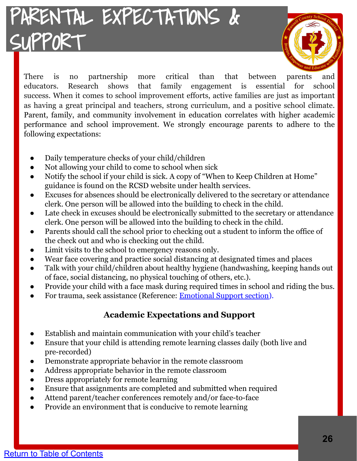### <span id="page-25-0"></span>PARENTAL EXPECTATIONS & SUPPORT



There is no partnership more critical than that between parents and educators. Research shows that family engagement is essential for school success. When it comes to school improvement efforts, active families are just as important as having a great principal and teachers, strong curriculum, and a positive school climate. Parent, family, and community involvement in education correlates with higher academic performance and school improvement. We strongly encourage parents to adhere to the following expectations:

- Daily temperature checks of your child/children
- Not allowing your child to come to school when sick
- Notify the school if your child is sick. A copy of "When to Keep Children at Home" guidance is found on the RCSD website under health services.
- Excuses for absences should be electronically delivered to the secretary or attendance clerk. One person will be allowed into the building to check in the child.
- Late check in excuses should be electronically submitted to the secretary or attendance clerk. One person will be allowed into the building to check in the child.
- Parents should call the school prior to checking out a student to inform the office of the check out and who is checking out the child.
- Limit visits to the school to emergency reasons only.
- Wear face covering and practice social distancing at designated times and places
- Talk with your child/children about healthy hygiene (handwashing, keeping hands out of face, social distancing, no physical touching of others, etc.).
- Provide your child with a face mask during required times in school and riding the bus.
- For trauma, seek assistance (Reference: **[Emotional Support section](#page-22-0)**).

#### **Academic Expectations and Support**

- Establish and maintain communication with your child's teacher
- Ensure that your child is attending remote learning classes daily (both live and pre-recorded)
- Demonstrate appropriate behavior in the remote classroom
- Address appropriate behavior in the remote classroom
- Dress appropriately for remote learning
- Ensure that assignments are completed and submitted when required
- Attend parent/teacher conferences remotely and/or face-to-face
- Provide an environment that is conducive to remote learning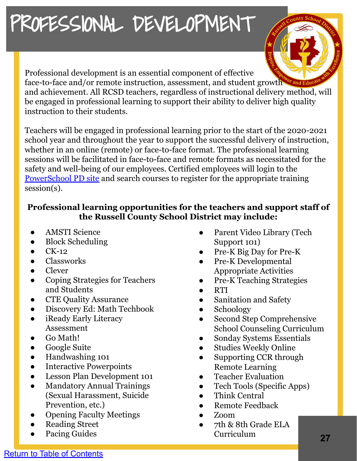### <span id="page-26-0"></span>PROFESSIONAL DEVELOPMENT



Professional development is an essential component of effective face-to-face and/or remote instruction, assessment, and student growth  $\mathbb{C}^r$  and and achievement. All RCSD teachers, regardless of instructional delivery method, will be engaged in professional learning to support their ability to deliver high quality instruction to their students.

Teachers will be engaged in professional learning prior to the start of the 2020-2021 school year and throughout the year to support the successful delivery of instruction, whether in an online (remote) or face-to-face format. The professional learning sessions will be facilitated in face-to-face and remote formats as necessitated for the safety and well-being of our employees. Certified employees will login to the [PowerSchool PD site](https://alsde.truenorthlogic.com/ia/empari/login/index) and search courses to register for the appropriate training session(s).

#### **Professional learning opportunities for the teachers and support staff of the Russell County School District may include:**

- **AMSTI Science**
- **Block Scheduling**
- $CK-12$
- **Classworks**
- **Clever**
- Coping Strategies for Teachers and Students
- **CTE Quality Assurance**
- Discovery Ed: Math Techbook
- iReady Early Literacy Assessment
- Go Math!
- **Google Suite**
- Handwashing 101
- **Interactive Powerpoints**
- Lesson Plan Development 101
- Mandatory Annual Trainings (Sexual Harassment, Suicide Prevention, etc.)
- Opening Faculty Meetings
- **Reading Street**
- Pacing Guides
- Parent Video Library (Tech Support 101)
- Pre-K Big Day for Pre-K
- Pre-K Developmental Appropriate Activities
- Pre-K Teaching Strategies
- **RTI**
- Sanitation and Safety
- Schoology
- Second Step Comprehensive School Counseling Curriculum
- Sonday Systems Essentials
- Studies Weekly Online
- Supporting CCR through Remote Learning
- Teacher Evaluation
- Tech Tools (Specific Apps)
- Think Central
- Remote Feedback
- Zoom
- 7th & 8th Grade ELA Curriculum **27**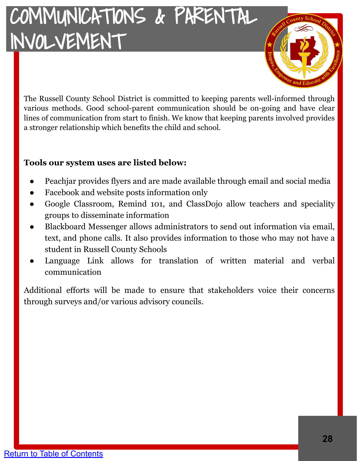### <span id="page-27-0"></span>COMMUNICATIONS & PARENTAL INVOLVEMENT



The Russell County School District is committed to keeping parents well-informed through various methods. Good school-parent communication should be on-going and have clear lines of communication from start to finish. We know that keeping parents involved provides a stronger relationship which benefits the child and school.

#### **Tools our system uses are listed below:**

- Peachjar provides flyers and are made available through email and social media
- Facebook and website posts information only
- Google Classroom, Remind 101, and ClassDojo allow teachers and speciality groups to disseminate information
- Blackboard Messenger allows administrators to send out information via email, text, and phone calls. It also provides information to those who may not have a student in Russell County Schools
- Language Link allows for translation of written material and verbal communication

Additional efforts will be made to ensure that stakeholders voice their concerns through surveys and/or various advisory councils.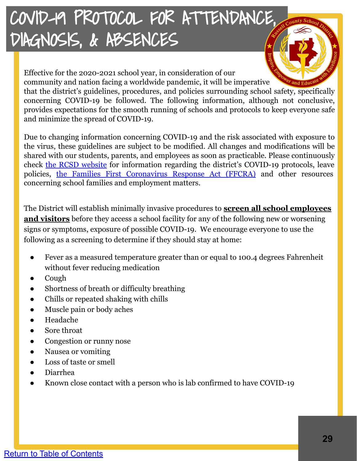<span id="page-28-0"></span>Effective for the 2020-2021 school year, in consideration of our community and nation facing a worldwide pandemic, it will be imperative that the district's guidelines, procedures, and policies surrounding school safety, specifically concerning COVID-19 be followed. The following information, although not conclusive, provides expectations for the smooth running of schools and protocols to keep everyone safe and minimize the spread of COVID-19.

Due to changing information concerning COVID-19 and the risk associated with exposure to the virus, these guidelines are subject to be modified. All changes and modifications will be shared with our students, parents, and employees as soon as practicable. Please continuously check [the RCSD website](http://www.myrcsd.org) for information regarding the district's COVID-19 protocols, leave policies, [the Families First Coronavirus Response Act \(FFCRA\)](https://www.dol.gov/agencies/whd/pandemic/ffcra-employer-paid-leave) and other resources concerning school families and employment matters.

The District will establish minimally invasive procedures to **screen all school employees and visitors** before they access a school facility for any of the following new or worsening signs or symptoms, exposure of possible COVID-19. We encourage everyone to use the following as a screening to determine if they should stay at home:

- Fever as a measured temperature greater than or equal to 100.4 degrees Fahrenheit without fever reducing medication
- Cough
- Shortness of breath or difficulty breathing
- Chills or repeated shaking with chills
- Muscle pain or body aches
- Headache
- Sore throat
- Congestion or runny nose
- Nausea or vomiting
- Loss of taste or smell
- Diarrhea
- Known close contact with a person who is lab confirmed to have COVID-19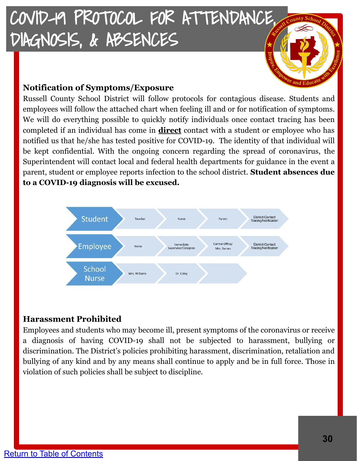

Russell County School District will follow protocols for contagious disease. Students and employees will follow the attached chart when feeling ill and or for notification of symptoms. We will do everything possible to quickly notify individuals once contact tracing has been completed if an individual has come in **direct** contact with a student or employee who has notified us that he/she has tested positive for COVID-19. The identity of that individual will be kept confidential. With the ongoing concern regarding the spread of coronavirus, the Superintendent will contact local and federal health departments for guidance in the event a parent, student or employee reports infection to the school district. **Student absences due to a COVID-19 diagnosis will be excused.**



#### **Harassment Prohibited**

Employees and students who may become ill, present symptoms of the coronavirus or receive a diagnosis of having COVID-19 shall not be subjected to harassment, bullying or discrimination. The District's policies prohibiting harassment, discrimination, retaliation and bullying of any kind and by any means shall continue to apply and be in full force. Those in violation of such policies shall be subject to discipline.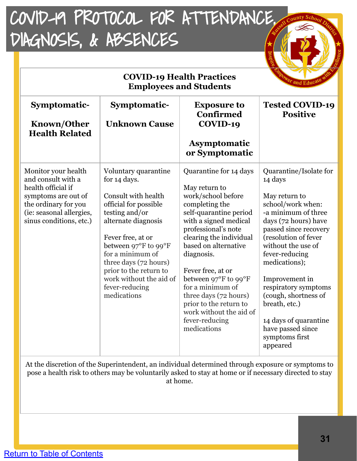| <b>COVID-19 Health Practices</b><br>and Ed<br><b>Employees and Students</b>                                                                                           |                                                                                                                                                                                                                                                                                                               |                                                                                                                                                                                                                                                                                                                                                                                                            |                                                                                                                                                                                                                                                                                                                                                                                                 |
|-----------------------------------------------------------------------------------------------------------------------------------------------------------------------|---------------------------------------------------------------------------------------------------------------------------------------------------------------------------------------------------------------------------------------------------------------------------------------------------------------|------------------------------------------------------------------------------------------------------------------------------------------------------------------------------------------------------------------------------------------------------------------------------------------------------------------------------------------------------------------------------------------------------------|-------------------------------------------------------------------------------------------------------------------------------------------------------------------------------------------------------------------------------------------------------------------------------------------------------------------------------------------------------------------------------------------------|
| Symptomatic-<br><b>Known/Other</b><br><b>Health Related</b>                                                                                                           | Symptomatic-<br><b>Unknown Cause</b>                                                                                                                                                                                                                                                                          | <b>Exposure to</b><br><b>Confirmed</b><br>COVID-19<br><b>Asymptomatic</b><br>or Symptomatic                                                                                                                                                                                                                                                                                                                | <b>Tested COVID-19</b><br><b>Positive</b>                                                                                                                                                                                                                                                                                                                                                       |
| Monitor your health<br>and consult with a<br>health official if<br>symptoms are out of<br>the ordinary for you<br>(ie: seasonal allergies,<br>sinus conditions, etc.) | Voluntary quarantine<br>for 14 days.<br>Consult with health<br>official for possible<br>testing and/or<br>alternate diagnosis<br>Fever free, at or<br>between 97°F to 99°F<br>for a minimum of<br>three days (72 hours)<br>prior to the return to<br>work without the aid of<br>fever-reducing<br>medications | Quarantine for 14 days<br>May return to<br>work/school before<br>completing the<br>self-quarantine period<br>with a signed medical<br>professional's note<br>clearing the individual<br>based on alternative<br>diagnosis.<br>Fever free, at or<br>between 97°F to 99°F<br>for a minimum of<br>three days (72 hours)<br>prior to the return to<br>work without the aid of<br>fever-reducing<br>medications | Quarantine/Isolate for<br>14 days<br>May return to<br>school/work when:<br>-a minimum of three<br>days (72 hours) have<br>passed since recovery<br>(resolution of fever<br>without the use of<br>fever-reducing<br>medications);<br>Improvement in<br>respiratory symptoms<br>(cough, shortness of<br>breath, etc.)<br>14 days of quarantine<br>have passed since<br>symptoms first<br>appeared |

At the discretion of the Superintendent, an individual determined through exposure or symptoms to pose a health risk to others may be voluntarily asked to stay at home or if necessary directed to stay at home.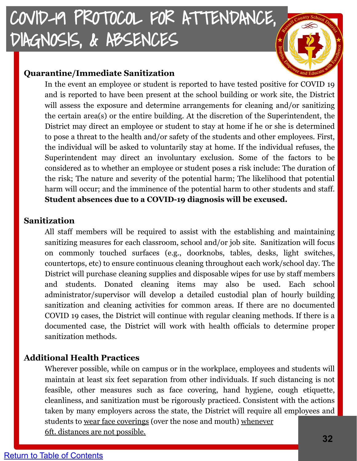#### **Quarantine/Immediate Sanitization**

In the event an employee or student is reported to have tested positive for COVID 19 and is reported to have been present at the school building or work site, the District will assess the exposure and determine arrangements for cleaning and/or sanitizing the certain area(s) or the entire building. At the discretion of the Superintendent, the District may direct an employee or student to stay at home if he or she is determined to pose a threat to the health and/or safety of the students and other employees. First, the individual will be asked to voluntarily stay at home. If the individual refuses, the Superintendent may direct an involuntary exclusion. Some of the factors to be considered as to whether an employee or student poses a risk include: The duration of the risk; The nature and severity of the potential harm; The likelihood that potential harm will occur; and the imminence of the potential harm to other students and staff. **Student absences due to a COVID-19 diagnosis will be excused.**

#### **Sanitization**

All staff members will be required to assist with the establishing and maintaining sanitizing measures for each classroom, school and/or job site. Sanitization will focus on commonly touched surfaces (e.g., doorknobs, tables, desks, light switches, countertops, etc) to ensure continuous cleaning throughout each work/school day. The District will purchase cleaning supplies and disposable wipes for use by staff members and students. Donated cleaning items may also be used. Each school administrator/supervisor will develop a detailed custodial plan of hourly building sanitization and cleaning activities for common areas. If there are no documented COVID 19 cases, the District will continue with regular cleaning methods. If there is a documented case, the District will work with health officials to determine proper sanitization methods.

#### **Additional Health Practices**

Wherever possible, while on campus or in the workplace, employees and students will maintain at least six feet separation from other individuals. If such distancing is not feasible, other measures such as face covering, hand hygiene, cough etiquette, cleanliness, and sanitization must be rigorously practiced. Consistent with the actions taken by many employers across the state, the District will require all employees and students to wear face coverings (over the nose and mouth) whenever 6ft. distances are not possible.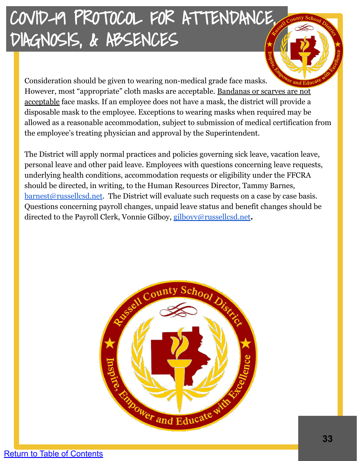Consideration should be given to wearing non-medical grade face masks. However, most "appropriate" cloth masks are acceptable. Bandanas or scarves are not acceptable face masks. If an employee does not have a mask, the district will provide a disposable mask to the employee. Exceptions to wearing masks when required may be allowed as a reasonable accommodation, subject to submission of medical certification from the employee's treating physician and approval by the Superintendent.

The District will apply normal practices and policies governing sick leave, vacation leave, personal leave and other paid leave. Employees with questions concerning leave requests, underlying health conditions, accommodation requests or eligibility under the FFCRA should be directed, in writing, to the Human Resources Director, Tammy Barnes, [barnest@russellcsd.net.](mailto:barnest@russellcsd.net) The District will evaluate such requests on a case by case basis. Questions concerning payroll changes, unpaid leave status and benefit changes should be directed to the Payroll Clerk, Vonnie Gilboy, [gilboyv@russellcsd.net](mailto:gilboyv@russellcsd.net)**.**